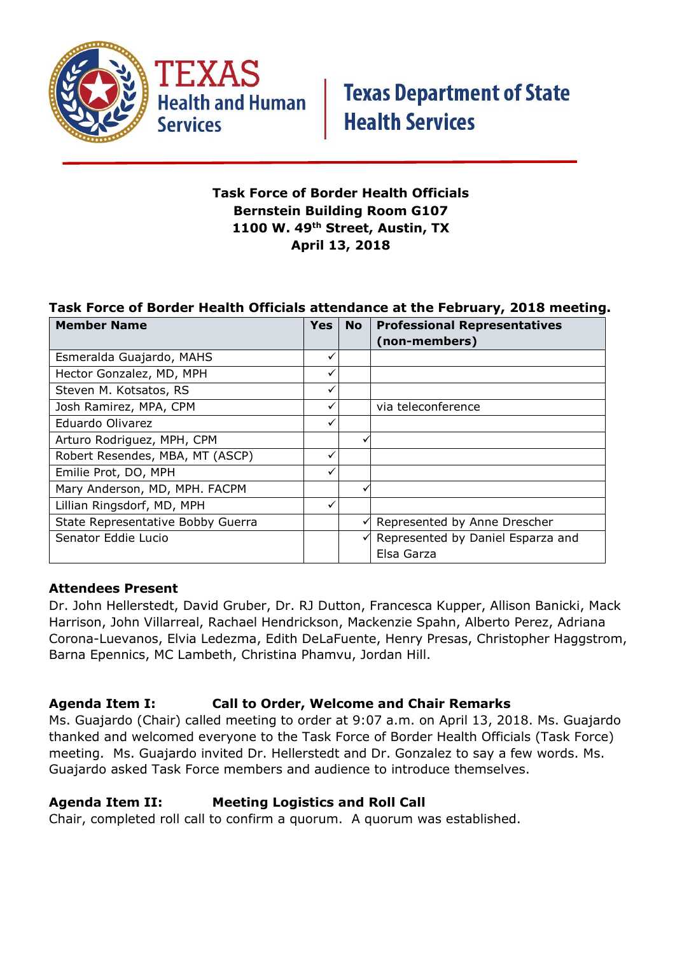

**Health and Human Services** 

#### **Task Force of Border Health Officials Bernstein Building Room G107 1100 W. 49th Street, Austin, TX April 13, 2018**

#### **Task Force of Border Health Officials attendance at the February, 2018 meeting.**

| <b>Member Name</b>                | Yes | <b>No</b> | <b>Professional Representatives</b> |
|-----------------------------------|-----|-----------|-------------------------------------|
|                                   |     |           | (non-members)                       |
| Esmeralda Guajardo, MAHS          | ✓   |           |                                     |
| Hector Gonzalez, MD, MPH          |     |           |                                     |
| Steven M. Kotsatos, RS            | ✓   |           |                                     |
| Josh Ramirez, MPA, CPM            |     |           | via teleconference                  |
| Eduardo Olivarez                  | ✓   |           |                                     |
| Arturo Rodriguez, MPH, CPM        |     |           |                                     |
| Robert Resendes, MBA, MT (ASCP)   |     |           |                                     |
| Emilie Prot, DO, MPH              |     |           |                                     |
| Mary Anderson, MD, MPH. FACPM     |     |           |                                     |
| Lillian Ringsdorf, MD, MPH        |     |           |                                     |
| State Representative Bobby Guerra |     |           | Represented by Anne Drescher        |
| Senator Eddie Lucio               |     |           | Represented by Daniel Esparza and   |
|                                   |     |           | Elsa Garza                          |

#### **Attendees Present**

Dr. John Hellerstedt, David Gruber, Dr. RJ Dutton, Francesca Kupper, Allison Banicki, Mack Harrison, John Villarreal, Rachael Hendrickson, Mackenzie Spahn, Alberto Perez, Adriana Corona-Luevanos, Elvia Ledezma, Edith DeLaFuente, Henry Presas, Christopher Haggstrom, Barna Epennics, MC Lambeth, Christina Phamvu, Jordan Hill.

#### **Agenda Item I: Call to Order, Welcome and Chair Remarks**

Ms. Guajardo (Chair) called meeting to order at 9:07 a.m. on April 13, 2018. Ms. Guajardo thanked and welcomed everyone to the Task Force of Border Health Officials (Task Force) meeting. Ms. Guajardo invited Dr. Hellerstedt and Dr. Gonzalez to say a few words. Ms. Guajardo asked Task Force members and audience to introduce themselves.

#### **Agenda Item II: Meeting Logistics and Roll Call**

Chair, completed roll call to confirm a quorum. A quorum was established.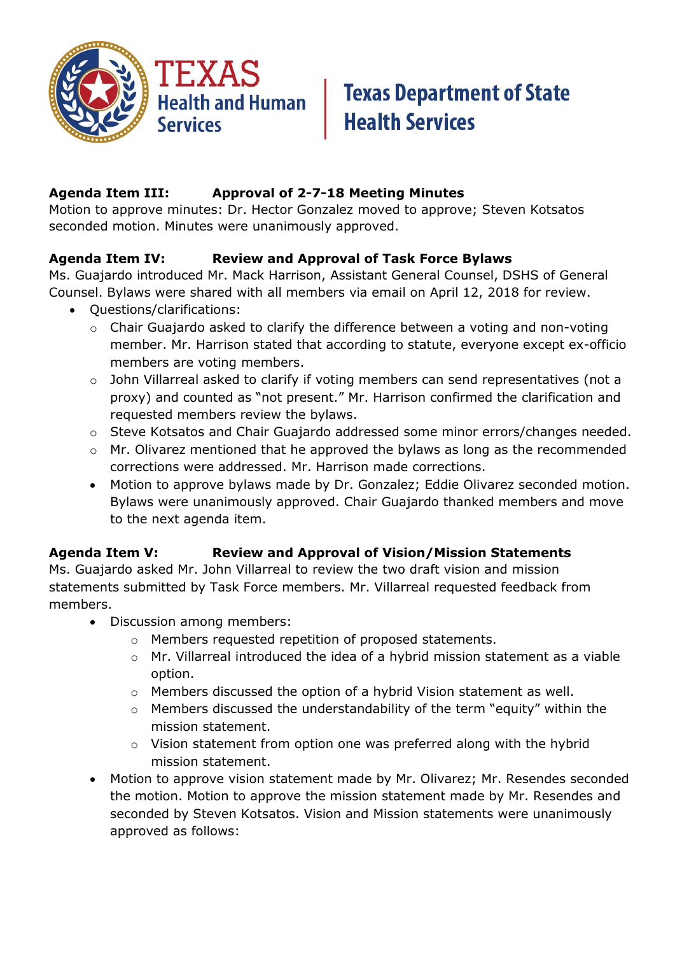

#### **Agenda Item III: Approval of 2-7-18 Meeting Minutes**

Motion to approve minutes: Dr. Hector Gonzalez moved to approve; Steven Kotsatos seconded motion. Minutes were unanimously approved.

#### **Agenda Item IV: Review and Approval of Task Force Bylaws**

Ms. Guajardo introduced Mr. Mack Harrison, Assistant General Counsel, DSHS of General Counsel. Bylaws were shared with all members via email on April 12, 2018 for review.

- Questions/clarifications:
	- o Chair Guajardo asked to clarify the difference between a voting and non-voting member. Mr. Harrison stated that according to statute, everyone except ex-officio members are voting members.
	- o John Villarreal asked to clarify if voting members can send representatives (not a proxy) and counted as "not present." Mr. Harrison confirmed the clarification and requested members review the bylaws.
	- o Steve Kotsatos and Chair Guajardo addressed some minor errors/changes needed.
	- o Mr. Olivarez mentioned that he approved the bylaws as long as the recommended corrections were addressed. Mr. Harrison made corrections.
	- Motion to approve bylaws made by Dr. Gonzalez; Eddie Olivarez seconded motion. Bylaws were unanimously approved. Chair Guajardo thanked members and move to the next agenda item.

#### **Agenda Item V: Review and Approval of Vision/Mission Statements**

Ms. Guajardo asked Mr. John Villarreal to review the two draft vision and mission statements submitted by Task Force members. Mr. Villarreal requested feedback from members.

- Discussion among members:
	- o Members requested repetition of proposed statements.
	- o Mr. Villarreal introduced the idea of a hybrid mission statement as a viable option.
	- o Members discussed the option of a hybrid Vision statement as well.
	- o Members discussed the understandability of the term "equity" within the mission statement.
	- o Vision statement from option one was preferred along with the hybrid mission statement.
- Motion to approve vision statement made by Mr. Olivarez; Mr. Resendes seconded the motion. Motion to approve the mission statement made by Mr. Resendes and seconded by Steven Kotsatos. Vision and Mission statements were unanimously approved as follows: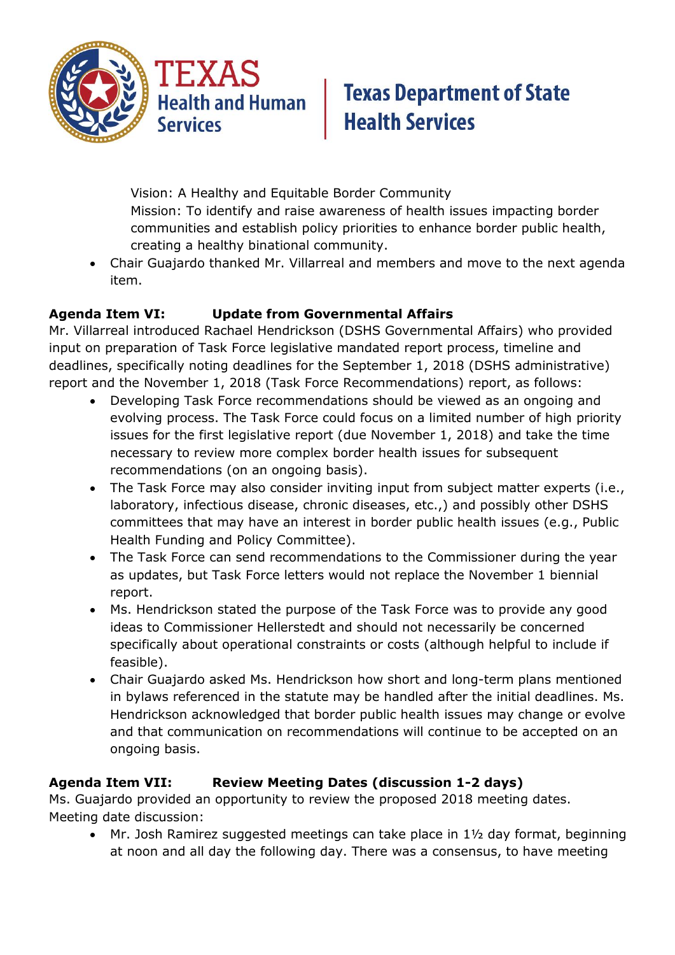

Vision: A Healthy and Equitable Border Community Mission: To identify and raise awareness of health issues impacting border communities and establish policy priorities to enhance border public health, creating a healthy binational community.

 Chair Guajardo thanked Mr. Villarreal and members and move to the next agenda item.

### **Agenda Item VI: Update from Governmental Affairs**

Mr. Villarreal introduced Rachael Hendrickson (DSHS Governmental Affairs) who provided input on preparation of Task Force legislative mandated report process, timeline and deadlines, specifically noting deadlines for the September 1, 2018 (DSHS administrative) report and the November 1, 2018 (Task Force Recommendations) report, as follows:

- Developing Task Force recommendations should be viewed as an ongoing and evolving process. The Task Force could focus on a limited number of high priority issues for the first legislative report (due November 1, 2018) and take the time necessary to review more complex border health issues for subsequent recommendations (on an ongoing basis).
- The Task Force may also consider inviting input from subject matter experts (i.e., laboratory, infectious disease, chronic diseases, etc.,) and possibly other DSHS committees that may have an interest in border public health issues (e.g., Public Health Funding and Policy Committee).
- The Task Force can send recommendations to the Commissioner during the year as updates, but Task Force letters would not replace the November 1 biennial report.
- Ms. Hendrickson stated the purpose of the Task Force was to provide any good ideas to Commissioner Hellerstedt and should not necessarily be concerned specifically about operational constraints or costs (although helpful to include if feasible).
- Chair Guajardo asked Ms. Hendrickson how short and long-term plans mentioned in bylaws referenced in the statute may be handled after the initial deadlines. Ms. Hendrickson acknowledged that border public health issues may change or evolve and that communication on recommendations will continue to be accepted on an ongoing basis.

## **Agenda Item VII: Review Meeting Dates (discussion 1-2 days)**

Ms. Guajardo provided an opportunity to review the proposed 2018 meeting dates. Meeting date discussion:

 Mr. Josh Ramirez suggested meetings can take place in 1½ day format, beginning at noon and all day the following day. There was a consensus, to have meeting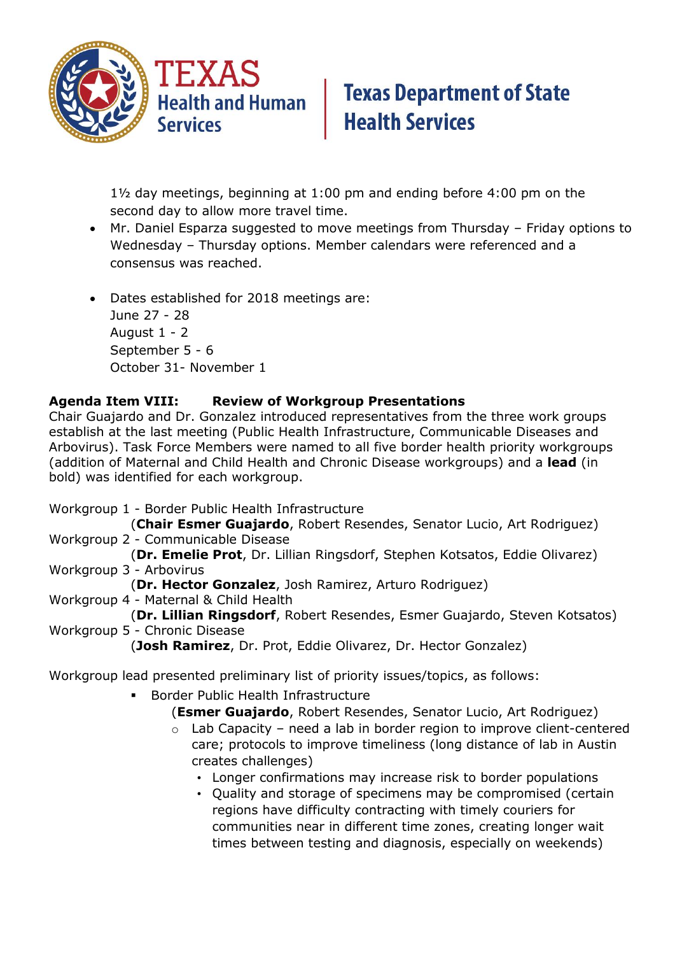

1½ day meetings, beginning at 1:00 pm and ending before 4:00 pm on the second day to allow more travel time.

- Mr. Daniel Esparza suggested to move meetings from Thursday Friday options to Wednesday – Thursday options. Member calendars were referenced and a consensus was reached.
- Dates established for 2018 meetings are: June 27 - 28 August 1 - 2 September 5 - 6 October 31- November 1

#### **Agenda Item VIII: Review of Workgroup Presentations**

Chair Guajardo and Dr. Gonzalez introduced representatives from the three work groups establish at the last meeting (Public Health Infrastructure, Communicable Diseases and Arbovirus). Task Force Members were named to all five border health priority workgroups (addition of Maternal and Child Health and Chronic Disease workgroups) and a **lead** (in bold) was identified for each workgroup.

Workgroup 1 - Border Public Health Infrastructure

(**Chair Esmer Guajardo**, Robert Resendes, Senator Lucio, Art Rodriguez) Workgroup 2 - Communicable Disease

(**Dr. Emelie Prot**, Dr. Lillian Ringsdorf, Stephen Kotsatos, Eddie Olivarez) Workgroup 3 - Arbovirus

(**Dr. Hector Gonzalez**, Josh Ramirez, Arturo Rodriguez)

Workgroup 4 - Maternal & Child Health

(**Dr. Lillian Ringsdorf**, Robert Resendes, Esmer Guajardo, Steven Kotsatos) Workgroup 5 - Chronic Disease

(**Josh Ramirez**, Dr. Prot, Eddie Olivarez, Dr. Hector Gonzalez)

Workgroup lead presented preliminary list of priority issues/topics, as follows:

- Border Public Health Infrastructure
	- (**Esmer Guajardo**, Robert Resendes, Senator Lucio, Art Rodriguez)
		- $\circ$  Lab Capacity need a lab in border region to improve client-centered care; protocols to improve timeliness (long distance of lab in Austin creates challenges)
			- Longer confirmations may increase risk to border populations
			- Quality and storage of specimens may be compromised (certain regions have difficulty contracting with timely couriers for communities near in different time zones, creating longer wait times between testing and diagnosis, especially on weekends)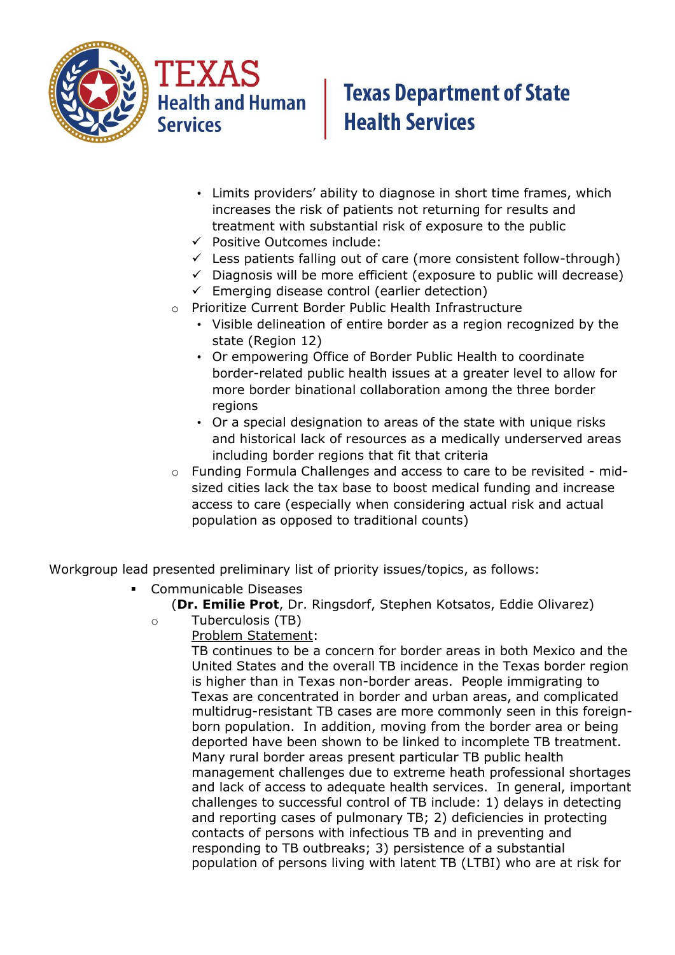



- Limits providers' ability to diagnose in short time frames, which increases the risk of patients not returning for results and treatment with substantial risk of exposure to the public
- $\checkmark$  Positive Outcomes include:
- $\checkmark$  Less patients falling out of care (more consistent follow-through)
- $\checkmark$  Diagnosis will be more efficient (exposure to public will decrease)
- $\checkmark$  Emerging disease control (earlier detection)
- o Prioritize Current Border Public Health Infrastructure
	- Visible delineation of entire border as a region recognized by the state (Region 12)
	- Or empowering Office of Border Public Health to coordinate border-related public health issues at a greater level to allow for more border binational collaboration among the three border regions
	- Or a special designation to areas of the state with unique risks and historical lack of resources as a medically underserved areas including border regions that fit that criteria
- $\circ$  Funding Formula Challenges and access to care to be revisited midsized cities lack the tax base to boost medical funding and increase access to care (especially when considering actual risk and actual population as opposed to traditional counts)

Workgroup lead presented preliminary list of priority issues/topics, as follows:

- Communicable Diseases
	- (**Dr. Emilie Prot**, Dr. Ringsdorf, Stephen Kotsatos, Eddie Olivarez)
	- o Tuberculosis (TB)
		- Problem Statement:

TB continues to be a concern for border areas in both Mexico and the United States and the overall TB incidence in the Texas border region is higher than in Texas non-border areas. People immigrating to Texas are concentrated in border and urban areas, and complicated multidrug-resistant TB cases are more commonly seen in this foreignborn population. In addition, moving from the border area or being deported have been shown to be linked to incomplete TB treatment. Many rural border areas present particular TB public health management challenges due to extreme heath professional shortages and lack of access to adequate health services. In general, important challenges to successful control of TB include: 1) delays in detecting and reporting cases of pulmonary TB; 2) deficiencies in protecting contacts of persons with infectious TB and in preventing and responding to TB outbreaks; 3) persistence of a substantial population of persons living with latent TB (LTBI) who are at risk for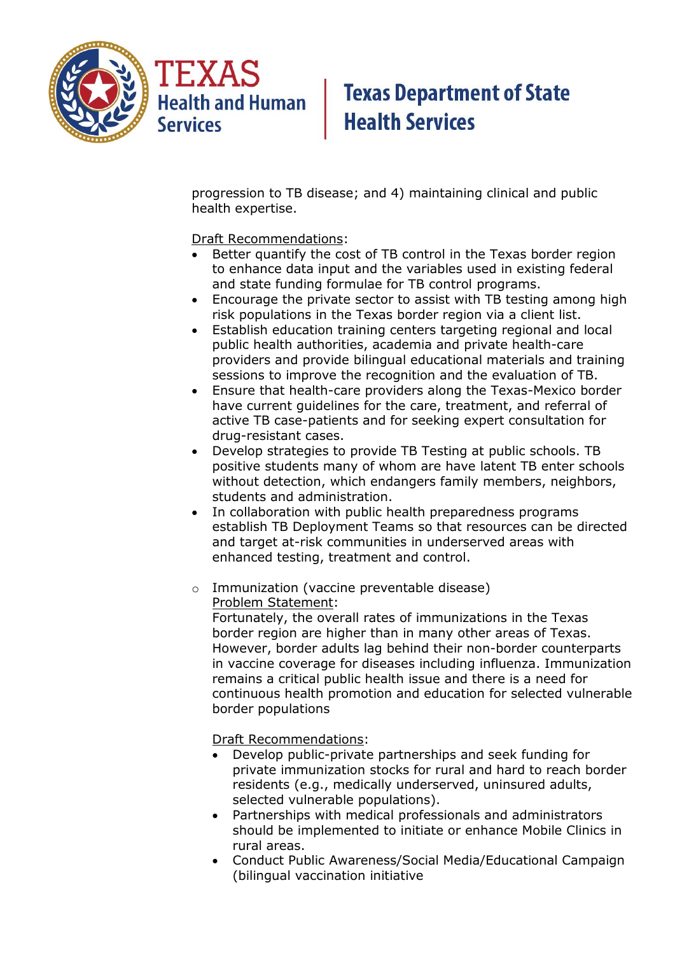

progression to TB disease; and 4) maintaining clinical and public health expertise.

Draft Recommendations:

- Better quantify the cost of TB control in the Texas border region to enhance data input and the variables used in existing federal and state funding formulae for TB control programs.
- Encourage the private sector to assist with TB testing among high risk populations in the Texas border region via a client list.
- Establish education training centers targeting regional and local public health authorities, academia and private health-care providers and provide bilingual educational materials and training sessions to improve the recognition and the evaluation of TB.
- Ensure that health-care providers along the Texas-Mexico border have current guidelines for the care, treatment, and referral of active TB case-patients and for seeking expert consultation for drug-resistant cases.
- Develop strategies to provide TB Testing at public schools. TB positive students many of whom are have latent TB enter schools without detection, which endangers family members, neighbors, students and administration.
- In collaboration with public health preparedness programs establish TB Deployment Teams so that resources can be directed and target at-risk communities in underserved areas with enhanced testing, treatment and control.
- o Immunization (vaccine preventable disease) Problem Statement:

Fortunately, the overall rates of immunizations in the Texas border region are higher than in many other areas of Texas. However, border adults lag behind their non-border counterparts in vaccine coverage for diseases including influenza. Immunization remains a critical public health issue and there is a need for continuous health promotion and education for selected vulnerable border populations

Draft Recommendations:

- Develop public-private partnerships and seek funding for private immunization stocks for rural and hard to reach border residents (e.g., medically underserved, uninsured adults, selected vulnerable populations).
- Partnerships with medical professionals and administrators should be implemented to initiate or enhance Mobile Clinics in rural areas.
- Conduct Public Awareness/Social Media/Educational Campaign (bilingual vaccination initiative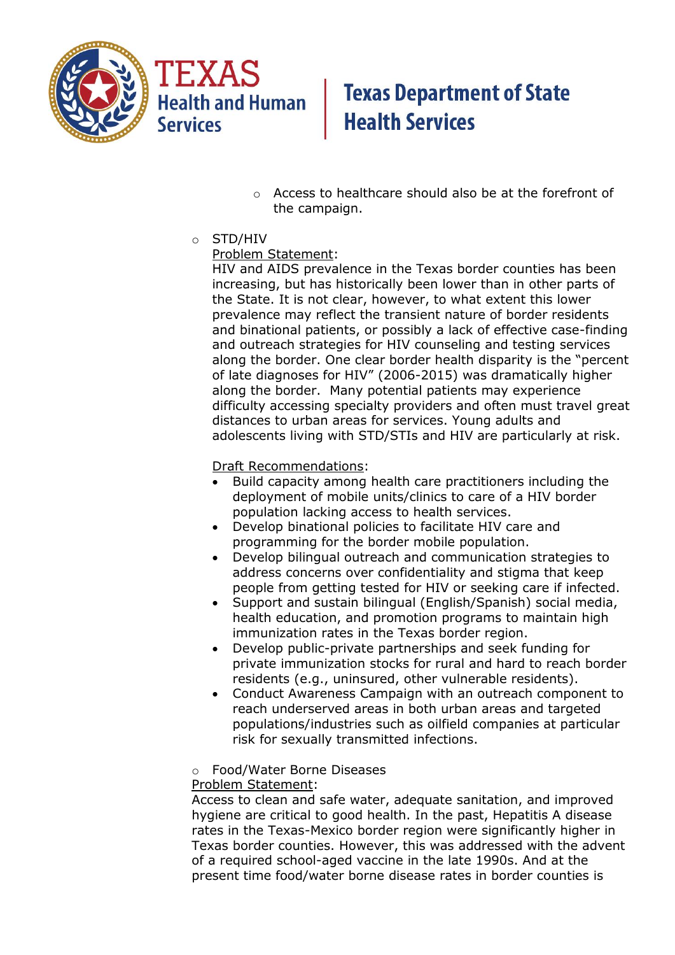

TEXAS **Health and Human Services** 

## **Texas Department of State Health Services**

- o Access to healthcare should also be at the forefront of the campaign.
- o STD/HIV

#### Problem Statement:

HIV and AIDS prevalence in the Texas border counties has been increasing, but has historically been lower than in other parts of the State. It is not clear, however, to what extent this lower prevalence may reflect the transient nature of border residents and binational patients, or possibly a lack of effective case-finding and outreach strategies for HIV counseling and testing services along the border. One clear border health disparity is the "percent of late diagnoses for HIV" (2006-2015) was dramatically higher along the border. Many potential patients may experience difficulty accessing specialty providers and often must travel great distances to urban areas for services. Young adults and adolescents living with STD/STIs and HIV are particularly at risk.

#### Draft Recommendations:

- Build capacity among health care practitioners including the deployment of mobile units/clinics to care of a HIV border population lacking access to health services.
- Develop binational policies to facilitate HIV care and programming for the border mobile population.
- Develop bilingual outreach and communication strategies to address concerns over confidentiality and stigma that keep people from getting tested for HIV or seeking care if infected.
- Support and sustain bilingual (English/Spanish) social media, health education, and promotion programs to maintain high immunization rates in the Texas border region.
- Develop public-private partnerships and seek funding for private immunization stocks for rural and hard to reach border residents (e.g., uninsured, other vulnerable residents).
- Conduct Awareness Campaign with an outreach component to reach underserved areas in both urban areas and targeted populations/industries such as oilfield companies at particular risk for sexually transmitted infections.

#### o Food/Water Borne Diseases

#### Problem Statement:

Access to clean and safe water, adequate sanitation, and improved hygiene are critical to good health. In the past, Hepatitis A disease rates in the Texas-Mexico border region were significantly higher in Texas border counties. However, this was addressed with the advent of a required school-aged vaccine in the late 1990s. And at the present time food/water borne disease rates in border counties is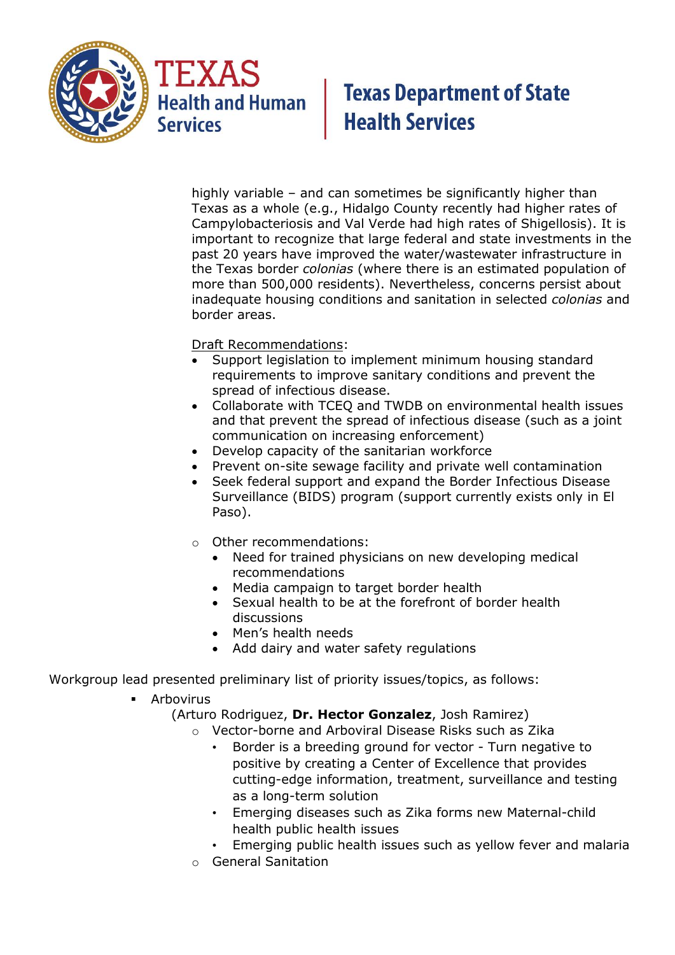

TEXAS **Health and Human Services** 

## **Texas Department of State Health Services**

highly variable – and can sometimes be significantly higher than Texas as a whole (e.g., Hidalgo County recently had higher rates of Campylobacteriosis and Val Verde had high rates of Shigellosis). It is important to recognize that large federal and state investments in the past 20 years have improved the water/wastewater infrastructure in the Texas border *colonias* (where there is an estimated population of more than 500,000 residents). Nevertheless, concerns persist about inadequate housing conditions and sanitation in selected *colonias* and border areas.

Draft Recommendations:

- Support legislation to implement minimum housing standard requirements to improve sanitary conditions and prevent the spread of infectious disease.
- Collaborate with TCEQ and TWDB on environmental health issues and that prevent the spread of infectious disease (such as a joint communication on increasing enforcement)
- Develop capacity of the sanitarian workforce
- Prevent on-site sewage facility and private well contamination
- Seek federal support and expand the Border Infectious Disease Surveillance (BIDS) program (support currently exists only in El Paso).
- o Other recommendations:
	- Need for trained physicians on new developing medical recommendations
	- Media campaign to target border health
	- Sexual health to be at the forefront of border health discussions
	- Men's health needs
	- Add dairy and water safety regulations

Workgroup lead presented preliminary list of priority issues/topics, as follows:

- Arbovirus
	- (Arturo Rodriguez, **Dr. Hector Gonzalez**, Josh Ramirez)
		- o Vector-borne and Arboviral Disease Risks such as Zika
			- Border is a breeding ground for vector Turn negative to positive by creating a Center of Excellence that provides cutting-edge information, treatment, surveillance and testing as a long-term solution
			- Emerging diseases such as Zika forms new Maternal-child health public health issues
			- Emerging public health issues such as yellow fever and malaria
		- o General Sanitation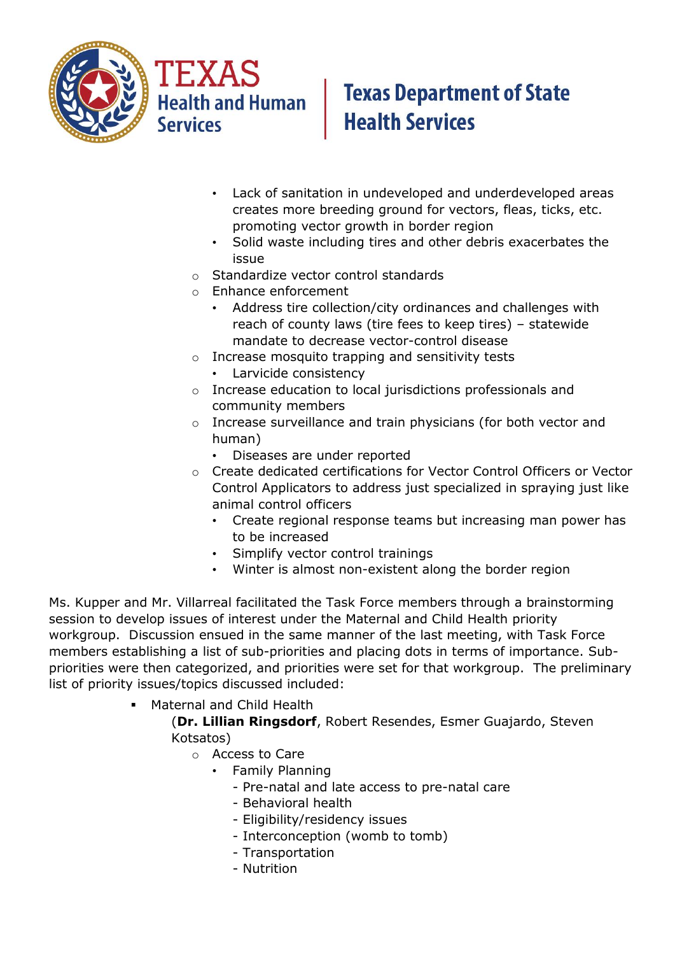

**Health and Human**<br>Services

# **Texas Department of State Health Services**

- Lack of sanitation in undeveloped and underdeveloped areas creates more breeding ground for vectors, fleas, ticks, etc. promoting vector growth in border region
- Solid waste including tires and other debris exacerbates the issue
- o Standardize vector control standards
- o Enhance enforcement
	- Address tire collection/city ordinances and challenges with reach of county laws (tire fees to keep tires) – statewide mandate to decrease vector-control disease
- o Increase mosquito trapping and sensitivity tests
	- Larvicide consistency
- o Increase education to local jurisdictions professionals and community members
- o Increase surveillance and train physicians (for both vector and human)
	- Diseases are under reported
- o Create dedicated certifications for Vector Control Officers or Vector Control Applicators to address just specialized in spraying just like animal control officers
	- Create regional response teams but increasing man power has to be increased
	- Simplify vector control trainings
	- Winter is almost non-existent along the border region

Ms. Kupper and Mr. Villarreal facilitated the Task Force members through a brainstorming session to develop issues of interest under the Maternal and Child Health priority workgroup. Discussion ensued in the same manner of the last meeting, with Task Force members establishing a list of sub-priorities and placing dots in terms of importance. Subpriorities were then categorized, and priorities were set for that workgroup. The preliminary list of priority issues/topics discussed included:

**• Maternal and Child Health** 

(**Dr. Lillian Ringsdorf**, Robert Resendes, Esmer Guajardo, Steven Kotsatos)

- o Access to Care
	- Family Planning
		- Pre-natal and late access to pre-natal care
		- Behavioral health
		- Eligibility/residency issues
		- Interconception (womb to tomb)
		- Transportation
		- Nutrition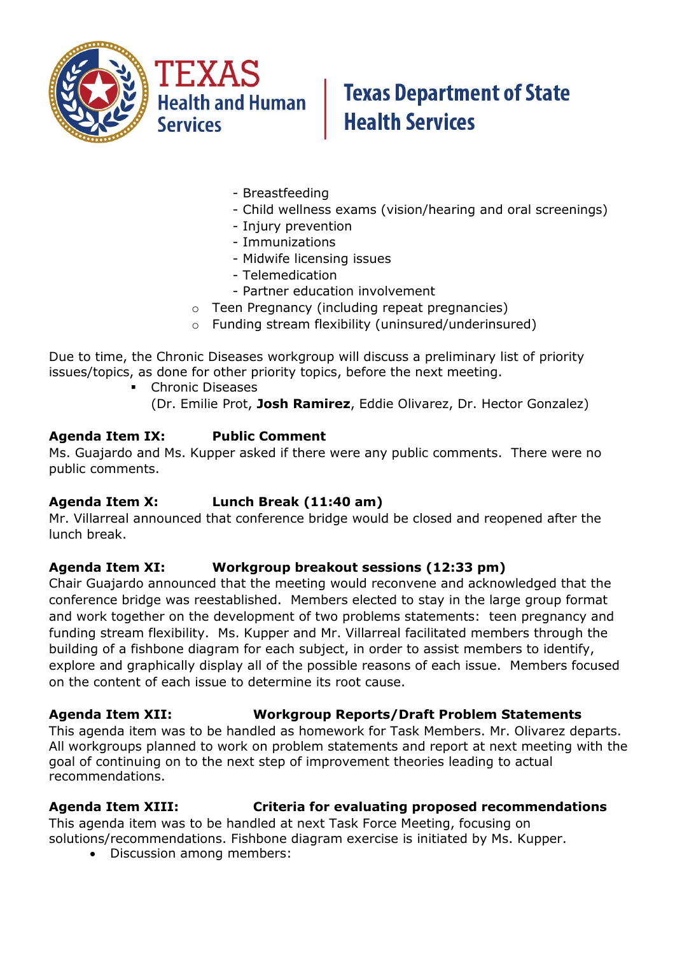

- Breastfeeding
- Child wellness exams (vision/hearing and oral screenings)
- Injury prevention
- Immunizations
- Midwife licensing issues
- Telemedication
- Partner education involvement
- $\circ$  Teen Pregnancy (including repeat pregnancies)
- o Funding stream flexibility (uninsured/underinsured)

Due to time, the Chronic Diseases workgroup will discuss a preliminary list of priority issues/topics, as done for other priority topics, before the next meeting.

- **Chronic Diseases** 
	- (Dr. Emilie Prot, **Josh Ramirez**, Eddie Olivarez, Dr. Hector Gonzalez)

#### **Agenda Item IX: Public Comment**

Ms. Guajardo and Ms. Kupper asked if there were any public comments. There were no public comments.

#### **Agenda Item X: Lunch Break (11:40 am)**

Mr. Villarreal announced that conference bridge would be closed and reopened after the lunch break.

#### **Agenda Item XI: Workgroup breakout sessions (12:33 pm)**

Chair Guajardo announced that the meeting would reconvene and acknowledged that the conference bridge was reestablished. Members elected to stay in the large group format and work together on the development of two problems statements: teen pregnancy and funding stream flexibility. Ms. Kupper and Mr. Villarreal facilitated members through the building of a fishbone diagram for each subject, in order to assist members to identify, explore and graphically display all of the possible reasons of each issue. Members focused on the content of each issue to determine its root cause.

#### **Agenda Item XII: Workgroup Reports/Draft Problem Statements**

This agenda item was to be handled as homework for Task Members. Mr. Olivarez departs. All workgroups planned to work on problem statements and report at next meeting with the goal of continuing on to the next step of improvement theories leading to actual recommendations.

#### **Agenda Item XIII: Criteria for evaluating proposed recommendations**

This agenda item was to be handled at next Task Force Meeting, focusing on solutions/recommendations. Fishbone diagram exercise is initiated by Ms. Kupper.

Discussion among members: